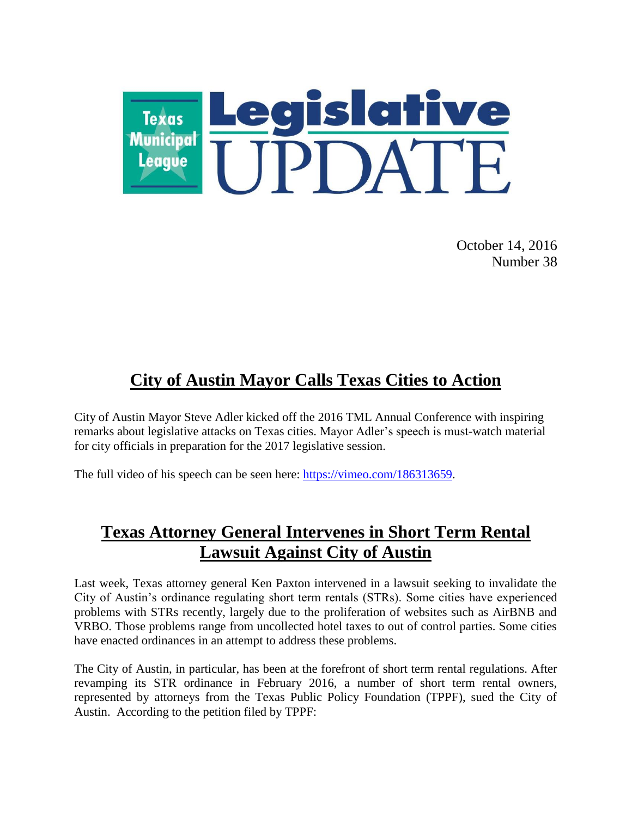

October 14, 2016 Number 38

# **City of Austin Mayor Calls Texas Cities to Action**

City of Austin Mayor Steve Adler kicked off the 2016 TML Annual Conference with inspiring remarks about legislative attacks on Texas cities. Mayor Adler's speech is must-watch material for city officials in preparation for the 2017 legislative session.

The full video of his speech can be seen here: [https://vimeo.com/186313659.](https://vimeo.com/186313659)

## **Texas Attorney General Intervenes in Short Term Rental Lawsuit Against City of Austin**

Last week, Texas attorney general Ken Paxton intervened in a lawsuit seeking to invalidate the City of Austin's ordinance regulating short term rentals (STRs). Some cities have experienced problems with STRs recently, largely due to the proliferation of websites such as AirBNB and VRBO. Those problems range from uncollected hotel taxes to out of control parties. Some cities have enacted ordinances in an attempt to address these problems.

The City of Austin, in particular, has been at the forefront of short term rental regulations. After revamping its STR ordinance in February 2016, a number of short term rental owners, represented by attorneys from the Texas Public Policy Foundation (TPPF), sued the City of Austin. According to the petition filed by TPPF: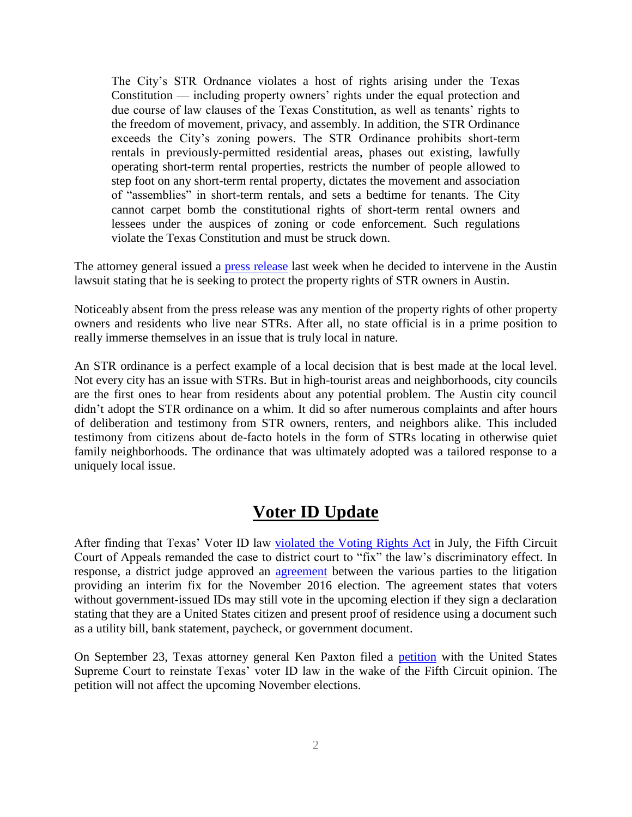The City's STR Ordnance violates a host of rights arising under the Texas Constitution — including property owners' rights under the equal protection and due course of law clauses of the Texas Constitution, as well as tenants' rights to the freedom of movement, privacy, and assembly. In addition, the STR Ordinance exceeds the City's zoning powers. The STR Ordinance prohibits short-term rentals in previously-permitted residential areas, phases out existing, lawfully operating short-term rental properties, restricts the number of people allowed to step foot on any short-term rental property, dictates the movement and association of "assemblies" in short-term rentals, and sets a bedtime for tenants. The City cannot carpet bomb the constitutional rights of short-term rental owners and lessees under the auspices of zoning or code enforcement. Such regulations violate the Texas Constitution and must be struck down.

The attorney general issued a **press release** last week when he decided to intervene in the Austin lawsuit stating that he is seeking to protect the property rights of STR owners in Austin.

Noticeably absent from the press release was any mention of the property rights of other property owners and residents who live near STRs. After all, no state official is in a prime position to really immerse themselves in an issue that is truly local in nature.

An STR ordinance is a perfect example of a local decision that is best made at the local level. Not every city has an issue with STRs. But in high-tourist areas and neighborhoods, city councils are the first ones to hear from residents about any potential problem. The Austin city council didn't adopt the STR ordinance on a whim. It did so after numerous complaints and after hours of deliberation and testimony from STR owners, renters, and neighbors alike. This included testimony from citizens about de-facto hotels in the form of STRs locating in otherwise quiet family neighborhoods. The ordinance that was ultimately adopted was a tailored response to a uniquely local issue.

#### **Voter ID Update**

After finding that Texas' Voter ID law [violated the Voting Rights Act](http://www.tml.org/legis_updates/texas-voter-id-law-violates-the-voting-rights-act) in July, the Fifth Circuit Court of Appeals remanded the case to district court to "fix" the law's discriminatory effect. In response, a district judge approved an [agreement](https://static.texastribune.org/media/documents/Veasey_Joint_Motion_FILED_8_3_2016_12pm.pdf) between the various parties to the litigation providing an interim fix for the November 2016 election. The agreement states that voters without government-issued IDs may still vote in the upcoming election if they sign a declaration stating that they are a United States citizen and present proof of residence using a document such as a utility bill, bank statement, paycheck, or government document.

On September 23, Texas attorney general Ken Paxton filed a [petition](https://www.texasattorneygeneral.gov/news/releases/ag-paxton-asks-u.s.-supreme-court-to-reinstate-texas-voter-id-law) with the United States Supreme Court to reinstate Texas' voter ID law in the wake of the Fifth Circuit opinion. The petition will not affect the upcoming November elections.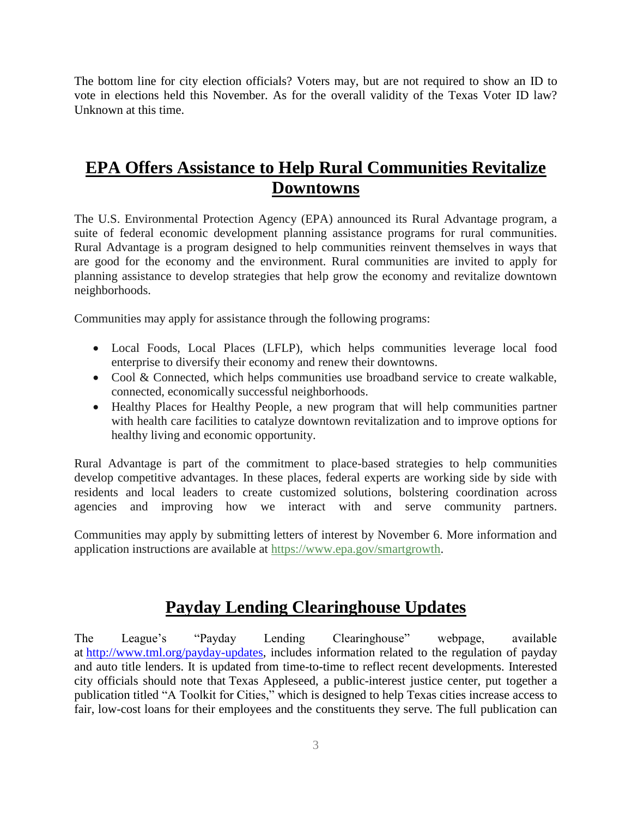The bottom line for city election officials? Voters may, but are not required to show an ID to vote in elections held this November. As for the overall validity of the Texas Voter ID law? Unknown at this time.

## **EPA Offers Assistance to Help Rural Communities Revitalize Downtowns**

The U.S. Environmental Protection Agency (EPA) announced its Rural Advantage program, a suite of federal economic development planning assistance programs for rural communities. Rural Advantage is a program designed to help communities reinvent themselves in ways that are good for the economy and the environment. Rural communities are invited to apply for planning assistance to develop strategies that help grow the economy and revitalize downtown neighborhoods.

Communities may apply for assistance through the following programs:

- Local Foods, Local Places (LFLP), which helps communities leverage local food enterprise to diversify their economy and renew their downtowns.
- Cool & Connected, which helps communities use broadband service to create walkable, connected, economically successful neighborhoods.
- Healthy Places for Healthy People, a new program that will help communities partner with health care facilities to catalyze downtown revitalization and to improve options for healthy living and economic opportunity.

Rural Advantage is part of the commitment to place-based strategies to help communities develop competitive advantages. In these places, federal experts are working side by side with residents and local leaders to create customized solutions, bolstering coordination across agencies and improving how we interact with and serve community partners.

Communities may apply by submitting letters of interest by November 6. More information and application instructions are available at [https://www.epa.gov/smartgrowth.](https://www.epa.gov/smartgrowth)

## **Payday Lending Clearinghouse Updates**

The League's "Payday Lending Clearinghouse" webpage, available at [http://www.tml.org/payday-updates,](http://www.tml.org/payday-updates) includes information related to the regulation of payday and auto title lenders. It is updated from time-to-time to reflect recent developments. Interested city officials should note that Texas Appleseed, a public-interest justice center, put together a publication titled "A Toolkit for Cities," which is designed to help Texas cities increase access to fair, low-cost loans for their employees and the constituents they serve. The full publication can